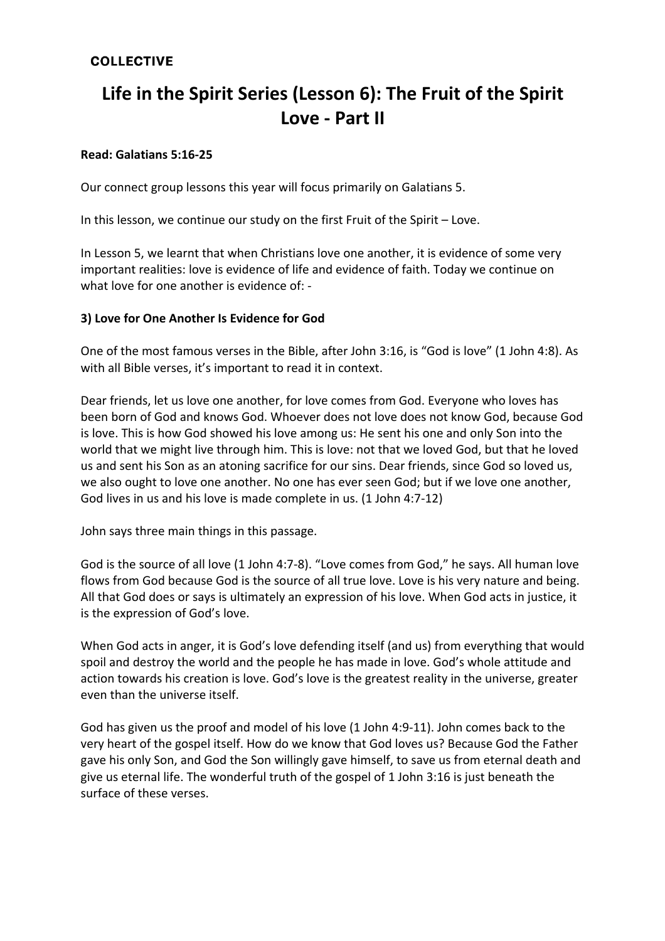## **COLLECTIVE**

# **Life in the Spirit Series (Lesson 6): The Fruit of the Spirit Love - Part II**

### **Read: Galatians 5:16-25**

Our connect group lessons this year will focus primarily on Galatians 5.

In this lesson, we continue our study on the first Fruit of the Spirit – Love.

In Lesson 5, we learnt that when Christians love one another, it is evidence of some very important realities: love is evidence of life and evidence of faith. Today we continue on what love for one another is evidence of: -

#### **3) Love for One Another Is Evidence for God**

One of the most famous verses in the Bible, after John 3:16, is "God is love" (1 John 4:8). As with all Bible verses, it's important to read it in context.

Dear friends, let us love one another, for love comes from God. Everyone who loves has been born of God and knows God. Whoever does not love does not know God, because God is love. This is how God showed his love among us: He sent his one and only Son into the world that we might live through him. This is love: not that we loved God, but that he loved us and sent his Son as an atoning sacrifice for our sins. Dear friends, since God so loved us, we also ought to love one another. No one has ever seen God; but if we love one another, God lives in us and his love is made complete in us. (1 John 4:7-12)

John says three main things in this passage.

God is the source of all love (1 John 4:7-8). "Love comes from God," he says. All human love flows from God because God is the source of all true love. Love is his very nature and being. All that God does or says is ultimately an expression of his love. When God acts in justice, it is the expression of God's love.

When God acts in anger, it is God's love defending itself (and us) from everything that would spoil and destroy the world and the people he has made in love. God's whole attitude and action towards his creation is love. God's love is the greatest reality in the universe, greater even than the universe itself.

God has given us the proof and model of his love (1 John 4:9-11). John comes back to the very heart of the gospel itself. How do we know that God loves us? Because God the Father gave his only Son, and God the Son willingly gave himself, to save us from eternal death and give us eternal life. The wonderful truth of the gospel of 1 John 3:16 is just beneath the surface of these verses.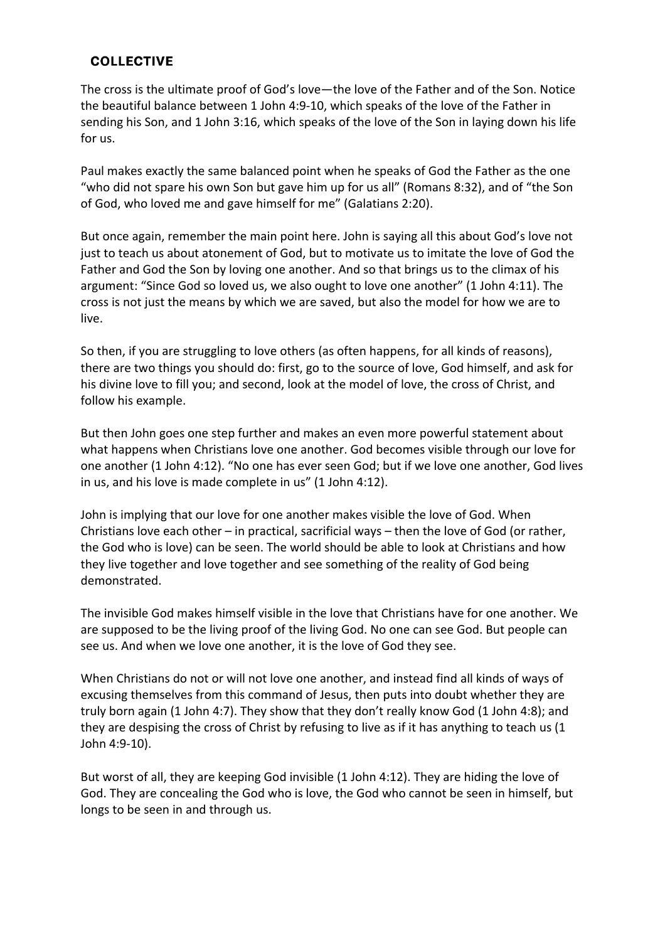## **COLLECTIVE**

The cross is the ultimate proof of God's love—the love of the Father and of the Son. Notice the beautiful balance between 1 John 4:9-10, which speaks of the love of the Father in sending his Son, and 1 John 3:16, which speaks of the love of the Son in laying down his life for us.

Paul makes exactly the same balanced point when he speaks of God the Father as the one "who did not spare his own Son but gave him up for us all" (Romans 8:32), and of "the Son of God, who loved me and gave himself for me" (Galatians 2:20).

But once again, remember the main point here. John is saying all this about God's love not just to teach us about atonement of God, but to motivate us to imitate the love of God the Father and God the Son by loving one another. And so that brings us to the climax of his argument: "Since God so loved us, we also ought to love one another" (1 John 4:11). The cross is not just the means by which we are saved, but also the model for how we are to live.

So then, if you are struggling to love others (as often happens, for all kinds of reasons), there are two things you should do: first, go to the source of love, God himself, and ask for his divine love to fill you; and second, look at the model of love, the cross of Christ, and follow his example.

But then John goes one step further and makes an even more powerful statement about what happens when Christians love one another. God becomes visible through our love for one another (1 John 4:12). "No one has ever seen God; but if we love one another, God lives in us, and his love is made complete in us" (1 John 4:12).

John is implying that our love for one another makes visible the love of God. When Christians love each other – in practical, sacrificial ways – then the love of God (or rather, the God who is love) can be seen. The world should be able to look at Christians and how they live together and love together and see something of the reality of God being demonstrated.

The invisible God makes himself visible in the love that Christians have for one another. We are supposed to be the living proof of the living God. No one can see God. But people can see us. And when we love one another, it is the love of God they see.

When Christians do not or will not love one another, and instead find all kinds of ways of excusing themselves from this command of Jesus, then puts into doubt whether they are truly born again (1 John 4:7). They show that they don't really know God (1 John 4:8); and they are despising the cross of Christ by refusing to live as if it has anything to teach us (1 John 4:9-10).

But worst of all, they are keeping God invisible (1 John 4:12). They are hiding the love of God. They are concealing the God who is love, the God who cannot be seen in himself, but longs to be seen in and through us.